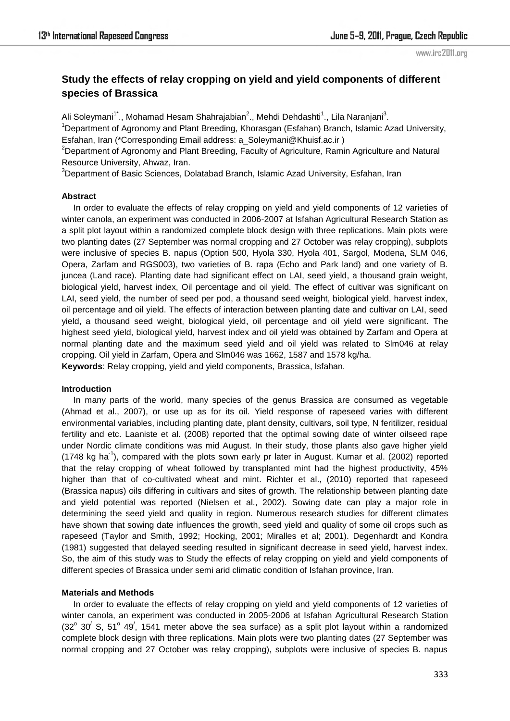# **Study the effects of relay cropping on yield and yield components of different species of Brassica**

Ali Soleymani<sup>1\*</sup>., Mohamad Hesam Shahrajabian<sup>2</sup>., Mehdi Dehdashti<sup>1</sup>., Lila Naranjani<sup>3</sup>.

<sup>1</sup>Department of Agronomy and Plant Breeding, Khorasgan (Esfahan) Branch, Islamic Azad University, Esfahan, Iran (\*Corresponding Email address: a\_Soleymani@Khuisf.ac.ir )

<sup>2</sup>Department of Agronomy and Plant Breeding, Faculty of Agriculture, Ramin Agriculture and Natural Resource University, Ahwaz, Iran.

<sup>3</sup>Department of Basic Sciences, Dolatabad Branch, Islamic Azad University, Esfahan, Iran

## **Abstract**

 In order to evaluate the effects of relay cropping on yield and yield components of 12 varieties of winter canola, an experiment was conducted in 2006-2007 at Isfahan Agricultural Research Station as a split plot layout within a randomized complete block design with three replications. Main plots were two planting dates (27 September was normal cropping and 27 October was relay cropping), subplots were inclusive of species B. napus (Option 500, Hyola 330, Hyola 401, Sargol, Modena, SLM 046, Opera, Zarfam and RGS003), two varieties of B. rapa (Echo and Park land) and one variety of B. juncea (Land race). Planting date had significant effect on LAI, seed yield, a thousand grain weight, biological yield, harvest index, Oil percentage and oil yield. The effect of cultivar was significant on LAI, seed yield, the number of seed per pod, a thousand seed weight, biological yield, harvest index, oil percentage and oil yield. The effects of interaction between planting date and cultivar on LAI, seed yield, a thousand seed weight, biological yield, oil percentage and oil yield were significant. The highest seed yield, biological yield, harvest index and oil yield was obtained by Zarfam and Opera at normal planting date and the maximum seed yield and oil yield was related to Slm046 at relay cropping. Oil yield in Zarfam, Opera and Slm046 was 1662, 1587 and 1578 kg/ha. **Keywords**: Relay cropping, yield and yield components, Brassica, Isfahan.

#### **Introduction**

 In many parts of the world, many species of the genus Brassica are consumed as vegetable (Ahmad et al., 2007), or use up as for its oil. Yield response of rapeseed varies with different environmental variables, including planting date, plant density, cultivars, soil type, N feritilizer, residual fertility and etc. Laaniste et al. (2008) reported that the optimal sowing date of winter oilseed rape under Nordic climate conditions was mid August. In their study, those plants also gave higher yield  $(1748 \text{ kg ha}^{-1})$ , compared with the plots sown early pr later in August. Kumar et al. (2002) reported that the relay cropping of wheat followed by transplanted mint had the highest productivity, 45% higher than that of co-cultivated wheat and mint. Richter et al., (2010) reported that rapeseed (Brassica napus) oils differing in cultivars and sites of growth. The relationship between planting date and yield potential was reported (Nielsen et al., 2002). Sowing date can play a major role in determining the seed yield and quality in region. Numerous research studies for different climates have shown that sowing date influences the growth, seed yield and quality of some oil crops such as rapeseed (Taylor and Smith, 1992; Hocking, 2001; Miralles et al; 2001). Degenhardt and Kondra (1981) suggested that delayed seeding resulted in significant decrease in seed yield, harvest index. So, the aim of this study was to Study the effects of relay cropping on yield and yield components of different species of Brassica under semi arid climatic condition of Isfahan province, Iran.

#### **Materials and Methods**

 In order to evaluate the effects of relay cropping on yield and yield components of 12 varieties of winter canola, an experiment was conducted in 2005-2006 at Isfahan Agricultural Research Station  $(32^{\circ}$  30<sup> $\prime$ </sup> S, 51<sup>o</sup> 49<sup> $\prime$ </sup>, 1541 meter above the sea surface) as a split plot layout within a randomized complete block design with three replications. Main plots were two planting dates (27 September was normal cropping and 27 October was relay cropping), subplots were inclusive of species B. napus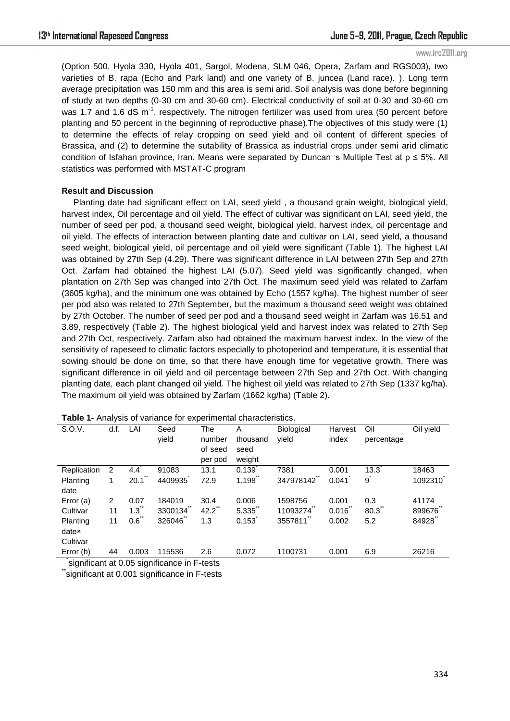(Option 500, Hyola 330, Hyola 401, Sargol, Modena, SLM 046, Opera, Zarfam and RGS003), two varieties of B. rapa (Echo and Park land) and one variety of B. juncea (Land race). ). Long term average precipitation was 150 mm and this area is semi arid. Soil analysis was done before beginning of study at two depths (0-30 cm and 30-60 cm). Electrical conductivity of soil at 0-30 and 30-60 cm was 1.7 and 1.6 dS m<sup>-1</sup>, respectively. The nitrogen fertilizer was used from urea (50 percent before planting and 50 percent in the beginning of reproductive phase).The objectives of this study were (1) to determine the effects of relay cropping on seed yield and oil content of different species of Brassica, and (2) to determine the sutability of Brassica as industrial crops under semi arid climatic condition of Isfahan province, Iran. Means were separated by Duncan 's Multiple Test at  $p \le 5\%$ . All statistics was performed with MSTAT-C program

#### **Result and Discussion**

 Planting date had significant effect on LAI, seed yield , a thousand grain weight, biological yield, harvest index, Oil percentage and oil yield. The effect of cultivar was significant on LAI, seed yield, the number of seed per pod, a thousand seed weight, biological yield, harvest index, oil percentage and oil yield. The effects of interaction between planting date and cultivar on LAI, seed yield, a thousand seed weight, biological yield, oil percentage and oil yield were significant (Table 1). The highest LAI was obtained by 27th Sep (4.29). There was significant difference in LAI between 27th Sep and 27th Oct. Zarfam had obtained the highest LAI (5.07). Seed yield was significantly changed, when plantation on 27th Sep was changed into 27th Oct. The maximum seed yield was related to Zarfam (3605 kg/ha), and the minimum one was obtained by Echo (1557 kg/ha). The highest number of seer per pod also was related to 27th September, but the maximum a thousand seed weight was obtained by 27th October. The number of seed per pod and a thousand seed weight in Zarfam was 16.51 and 3.89, respectively (Table 2). The highest biological yield and harvest index was related to 27th Sep and 27th Oct, respectively. Zarfam also had obtained the maximum harvest index. In the view of the sensitivity of rapeseed to climatic factors especially to photoperiod and temperature, it is essential that sowing should be done on time, so that there have enough time for vegetative growth. There was significant difference in oil yield and oil percentage between 27th Sep and 27th Oct. With changing planting date, each plant changed oil yield. The highest oil yield was related to 27th Sep (1337 kg/ha). The maximum oil yield was obtained by Zarfam (1662 kg/ha) (Table 2).

| S.O.V.                                             | d.f. | LAI   | Seed    | The       | Α        | <b>Biological</b> | Harvest | Oil        | Oil yield |
|----------------------------------------------------|------|-------|---------|-----------|----------|-------------------|---------|------------|-----------|
|                                                    |      |       | vield   | number    | thousand | vield             | index   | percentage |           |
|                                                    |      |       |         | of seed   | seed     |                   |         |            |           |
|                                                    |      |       |         | per pod   | weight   |                   |         |            |           |
| Replication                                        | 2    | 4.4   | 91083   | 13.1      | 0.139    | 7381              | 0.001   | 13.3       | 18463     |
| Planting                                           | 1    | 20.1  | 4409935 | 72.9      | 1.198    | 347978142         | 0.041   | $g^*$      | 1092310   |
| date                                               |      |       |         |           |          |                   |         |            |           |
| Error $(a)$                                        | 2    | 0.07  | 184019  | 30.4      | 0.006    | 1598756           | 0.001   | 0.3        | 41174     |
| Cultivar                                           | 11   | 1.3   | 3300134 | $42.2$ ** | 5.335    | 11093274          | 0.016   | 80.3       | 899676    |
| Planting                                           | 11   | 0.6   | 326046  | 1.3       | 0.153    | 3557811           | 0.002   | 5.2        | 84928     |
| datex                                              |      |       |         |           |          |                   |         |            |           |
| Cultivar                                           |      |       |         |           |          |                   |         |            |           |
| Error (b)                                          | 44   | 0.003 | 115536  | 2.6       | 0.072    | 1100731           | 0.001   | 6.9        | 26216     |
| $o$ ignificant at $0.05$ gignificance in $E$ tooto |      |       |         |           |          |                   |         |            |           |

**Table 1-** Analysis of variance for experimental characteristics.

significant at 0.05 significance in F-tests

significant at 0.001 significance in F-tests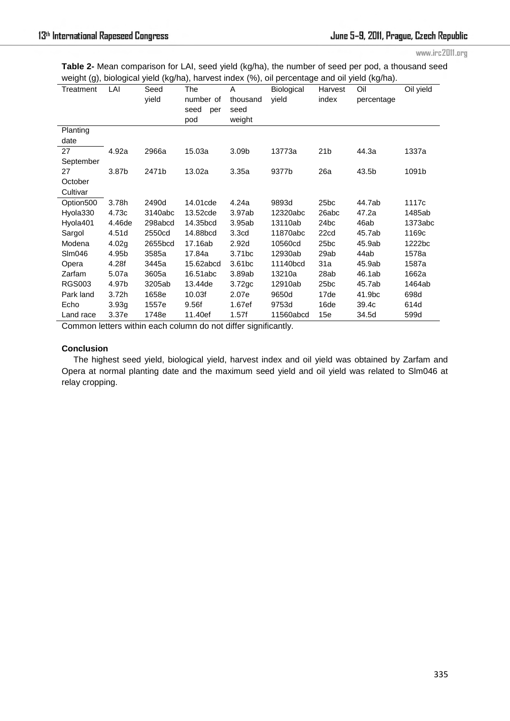| <b>Table 2-</b> Mean comparison for LAI, seed yield (kg/ha), the number of seed per pod, a thousand seed |
|----------------------------------------------------------------------------------------------------------|
| weight (g), biological yield (kg/ha), harvest index (%), oil percentage and oil yield (kg/ha).           |

| signi (g); biological field (ng/na); har rect much (70); on percentage and on field (ng/na). |        |         |             |                    |            |                  |            |           |  |  |
|----------------------------------------------------------------------------------------------|--------|---------|-------------|--------------------|------------|------------------|------------|-----------|--|--|
| Treatment                                                                                    | LAI    | Seed    | The         | A                  | Biological | Harvest          | Oil        | Oil yield |  |  |
|                                                                                              |        | yield   | number of   | thousand           | yield      | index            | percentage |           |  |  |
|                                                                                              |        |         | seed<br>per | seed               |            |                  |            |           |  |  |
|                                                                                              |        |         | pod         | weight             |            |                  |            |           |  |  |
| Planting                                                                                     |        |         |             |                    |            |                  |            |           |  |  |
| date                                                                                         |        |         |             |                    |            |                  |            |           |  |  |
| 27                                                                                           | 4.92a  | 2966a   | 15.03a      | 3.09b              | 13773a     | 21 <sub>b</sub>  | 44.3a      | 1337a     |  |  |
| September                                                                                    |        |         |             |                    |            |                  |            |           |  |  |
| 27                                                                                           | 3.87b  | 2471b   | 13.02a      | 3.35a              | 9377b      | 26a              | 43.5b      | 1091b     |  |  |
| October                                                                                      |        |         |             |                    |            |                  |            |           |  |  |
| Cultivar                                                                                     |        |         |             |                    |            |                  |            |           |  |  |
| Option500                                                                                    | 3.78h  | 2490d   | 14.01 cde   | 4.24a              | 9893d      | 25 <sub>bc</sub> | 44.7ab     | 1117c     |  |  |
| Hyola330                                                                                     | 4.73c  | 3140abc | 13.52cde    | 3.97ab             | 12320abc   | 26abc            | 47.2a      | 1485ab    |  |  |
| Hyola401                                                                                     | 4.46de | 298abcd | 14.35bcd    | 3.95ab             | 13110ab    | 24 <sub>bc</sub> | 46ab       | 1373abc   |  |  |
| Sargol                                                                                       | 4.51d  | 2550cd  | 14.88bcd    | 3.3 <sub>cd</sub>  | 11870abc   | 22cd             | 45.7ab     | 1169c     |  |  |
| Modena                                                                                       | 4.02g  | 2655bcd | 17.16ab     | 2.92 <sub>d</sub>  | 10560cd    | 25 <sub>bc</sub> | 45.9ab     | 1222bc    |  |  |
| Slm046                                                                                       | 4.95b  | 3585a   | 17.84a      | 3.71 <sub>bc</sub> | 12930ab    | 29ab             | 44ab       | 1578a     |  |  |
| Opera                                                                                        | 4.28f  | 3445a   | 15.62abcd   | 3.61bc             | 11140bcd   | 31a              | 45.9ab     | 1587a     |  |  |
| Zarfam                                                                                       | 5.07a  | 3605a   | 16.51abc    | 3.89ab             | 13210a     | 28ab             | 46.1ab     | 1662a     |  |  |
| <b>RGS003</b>                                                                                | 4.97b  | 3205ab  | 13.44de     | 3.72 <sub>gc</sub> | 12910ab    | 25 <sub>bc</sub> | 45.7ab     | 1464ab    |  |  |
| Park land                                                                                    | 3.72h  | 1658e   | 10.03f      | 2.07e              | 9650d      | 17de             | 41.9bc     | 698d      |  |  |
| Echo                                                                                         | 3.93g  | 1557e   | 9.56f       | 1.67ef             | 9753d      | 16de             | 39.4c      | 614d      |  |  |
| Land race                                                                                    | 3.37e  | 1748e   | 11.40ef     | 1.57f              | 11560abcd  | 15e              | 34.5d      | 599d      |  |  |

Common letters within each column do not differ significantly.

## **Conclusion**

 The highest seed yield, biological yield, harvest index and oil yield was obtained by Zarfam and Opera at normal planting date and the maximum seed yield and oil yield was related to Slm046 at relay cropping.